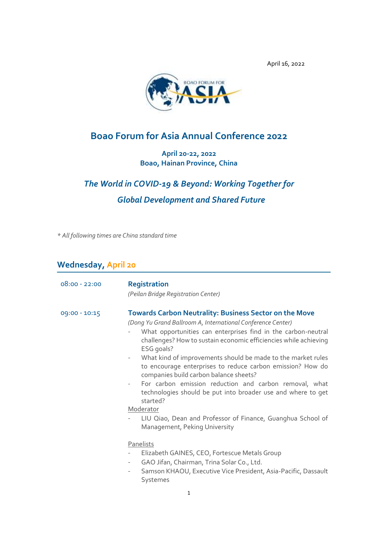

# **Boao Forum for Asia Annual Conference 2022**

**April 20-22, 2022 Boao, Hainan Province, China**

# *The World in COVID-19 & Beyond: Working Together for Global Development and Shared Future*

*\* All following times are China standard time*

# **Wednesday, April 20**

| $08:00 - 22:00$ | <b>Registration</b><br>(Peilan Bridge Registration Center)                                                                                                                                                                                                                                                                                                                                                                                                                                                                                                                                                                                                                                                                                           |
|-----------------|------------------------------------------------------------------------------------------------------------------------------------------------------------------------------------------------------------------------------------------------------------------------------------------------------------------------------------------------------------------------------------------------------------------------------------------------------------------------------------------------------------------------------------------------------------------------------------------------------------------------------------------------------------------------------------------------------------------------------------------------------|
| 09:00 - 10:15   | <b>Towards Carbon Neutrality: Business Sector on the Move</b><br>(Dong Yu Grand Ballroom A, International Conference Center)<br>What opportunities can enterprises find in the carbon-neutral<br>challenges? How to sustain economic efficiencies while achieving<br>ESG goals?<br>What kind of improvements should be made to the market rules<br>$\qquad \qquad -$<br>to encourage enterprises to reduce carbon emission? How do<br>companies build carbon balance sheets?<br>For carbon emission reduction and carbon removal, what<br>$\qquad \qquad -$<br>technologies should be put into broader use and where to get<br>started?<br>Moderator<br>LIU Qiao, Dean and Professor of Finance, Guanghua School of<br>Management, Peking University |
|                 | Panelists<br>Elizabeth GAINES, CEO, Fortescue Metals Group<br>GAO Jifan, Chairman, Trina Solar Co., Ltd.<br>$\overline{\phantom{a}}$<br>Samson KHAOU, Executive Vice President, Asia-Pacific, Dassault<br>$\overline{\phantom{a}}$<br>Systemes                                                                                                                                                                                                                                                                                                                                                                                                                                                                                                       |
|                 | 1                                                                                                                                                                                                                                                                                                                                                                                                                                                                                                                                                                                                                                                                                                                                                    |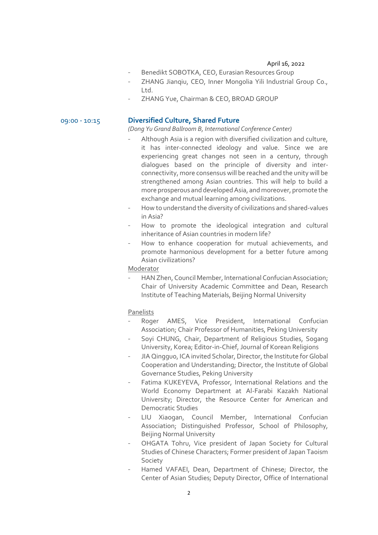- Benedikt SOBOTKA, CEO, Eurasian Resources Group
- ZHANG Jiangiu, CEO, Inner Mongolia Yili Industrial Group Co., Ltd.
- ZHANG Yue, Chairman & CEO, BROAD GROUP

# 09:00 - 10:15 **Diversified Culture, Shared Future**

*(Dong Yu Grand Ballroom B, International Conference Center)*

- Although Asia is a region with diversified civilization and culture, it has inter-connected ideology and value. Since we are experiencing great changes not seen in a century, through dialogues based on the principle of diversity and interconnectivity, more consensus will be reached and the unity will be strengthened among Asian countries. This will help to build a more prosperous and developed Asia, and moreover, promote the exchange and mutual learning among civilizations.
- How to understand the diversity of civilizations and shared-values in Asia?
- How to promote the ideological integration and cultural inheritance of Asian countries in modern life?
- How to enhance cooperation for mutual achievements, and promote harmonious development for a better future among Asian civilizations?

Moderator

- HAN Zhen, Council Member, International Confucian Association; Chair of University Academic Committee and Dean, Research Institute of Teaching Materials, Beijing Normal University

- Roger AMES, Vice President, International Confucian Association; Chair Professor of Humanities, Peking University
- Soyi CHUNG, Chair, Department of Religious Studies, Sogang University, Korea; Editor-in-Chief, Journal of Korean Religions
- JIA Qingguo, ICA invited Scholar, Director, the Institute for Global Cooperation and Understanding; Director, the Institute of Global Governance Studies, Peking University
- Fatima KUKEYEVA, Professor, International Relations and the World Economy Department at Al-Farabi Kazakh National University; Director, the Resource Center for American and Democratic Studies
- LIU Xiaogan, Council Member, International Confucian Association; Distinguished Professor, School of Philosophy, Beijing Normal University
- OHGATA Tohru, Vice president of Japan Society for Cultural Studies of Chinese Characters; Former president of Japan Taoism Society
- Hamed VAFAEI, Dean, Department of Chinese; Director, the Center of Asian Studies; Deputy Director, Office of International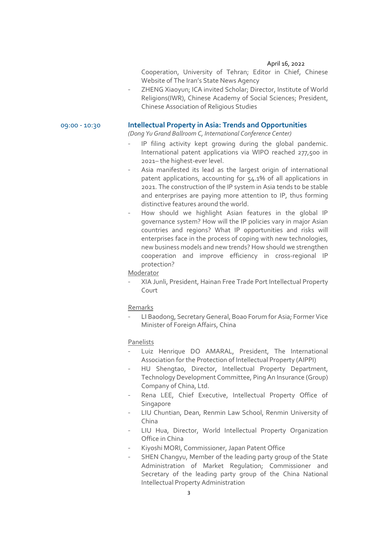Cooperation, University of Tehran; Editor in Chief, Chinese Website of The Iran's State News Agency

ZHENG Xiaoyun; ICA invited Scholar; Director, Institute of World Religions(IWR), Chinese Academy of Social Sciences; President, Chinese Association of Religious Studies

# 09:00 - 10:30 **Intellectual Property in Asia: Trends and Opportunities**

*(Dong Yu Grand Ballroom C, International Conference Center)*

- IP filing activity kept growing during the global pandemic. International patent applications via WIPO reached 277,500 in 2021– the highest-ever level.
- Asia manifested its lead as the largest origin of international patent applications, accounting for 54.1% of all applications in 2021. The construction of the IP system in Asia tends to be stable and enterprises are paying more attention to IP, thus forming distinctive features around the world.
- How should we highlight Asian features in the global IP governance system? How will the IP policies vary in major Asian countries and regions? What IP opportunities and risks will enterprises face in the process of coping with new technologies, new business models and new trends? How should we strengthen cooperation and improve efficiency in cross-regional IP protection?

Moderator

- XIA Junli, President, Hainan Free Trade Port Intellectual Property Court

#### Remarks

- LI Baodong, Secretary General, Boao Forum for Asia; Former Vice Minister of Foreign Affairs, China

- Luiz Henrique DO AMARAL, President, The International Association for the Protection of Intellectual Property (AIPPI)
- HU Shengtao, Director, Intellectual Property Department, Technology Development Committee, Ping An Insurance (Group) Company of China, Ltd.
- Rena LEE, Chief Executive, Intellectual Property Office of Singapore
- LIU Chuntian, Dean, Renmin Law School, Renmin University of China
- LIU Hua, Director, World Intellectual Property Organization Office in China
- Kiyoshi MORI, Commissioner, Japan Patent Office
- SHEN Changyu, Member of the leading party group of the State Administration of Market Regulation; Commissioner and Secretary of the leading party group of the China National Intellectual Property Administration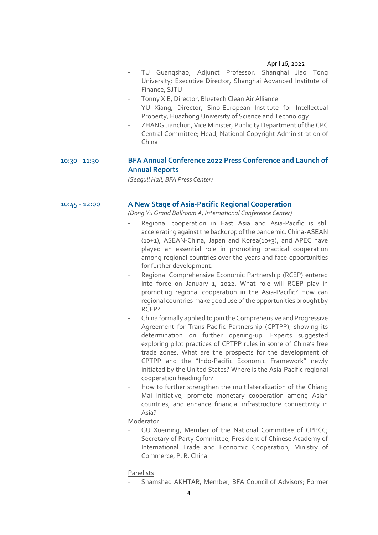- TU Guangshao, Adjunct Professor, Shanghai Jiao Tong University; Executive Director, Shanghai Advanced Institute of Finance, SJTU
- Tonny XIE, Director, Bluetech Clean Air Alliance
- YU Xiang, Director, Sino-European Institute for Intellectual Property, Huazhong University of Science and Technology
- ZHANG Jianchun, Vice Minister, Publicity Department of the CPC Central Committee; Head, National Copyright Administration of China

# 10:30 - 11:30 **BFA Annual Conference 2022 Press Conference and Launch of Annual Reports**

*(Seagull Hall, BFA Press Center)*

# 10:45 - 12:00 **A New Stage of Asia-Pacific Regional Cooperation**

*(Dong Yu Grand Ballroom A, International Conference Center)*

- Regional cooperation in East Asia and Asia-Pacific is still accelerating against the backdrop of the pandemic. China-ASEAN (10+1), ASEAN-China, Japan and Korea(10+3), and APEC have played an essential role in promoting practical cooperation among regional countries over the years and face opportunities for further development.
- Regional Comprehensive Economic Partnership (RCEP) entered into force on January 1, 2022. What role will RCEP play in promoting regional cooperation in the Asia-Pacific? How can regional countries make good use of the opportunities brought by RCEP?
- China formally applied to join the Comprehensive and Progressive Agreement for Trans-Pacific Partnership (CPTPP), showing its determination on further opening-up. Experts suggested exploring pilot practices of CPTPP rules in some of China's free trade zones. What are the prospects for the development of CPTPP and the "Indo-Pacific Economic Framework" newly initiated by the United States? Where is the Asia-Pacific regional cooperation heading for?
- How to further strengthen the multilateralization of the Chiang Mai Initiative, promote monetary cooperation among Asian countries, and enhance financial infrastructure connectivity in Asia?

# Moderator

GU Xueming, Member of the National Committee of CPPCC; Secretary of Party Committee, President of Chinese Academy of International Trade and Economic Cooperation, Ministry of Commerce, P. R. China

# Panelists

- Shamshad AKHTAR, Member, BFA Council of Advisors; Former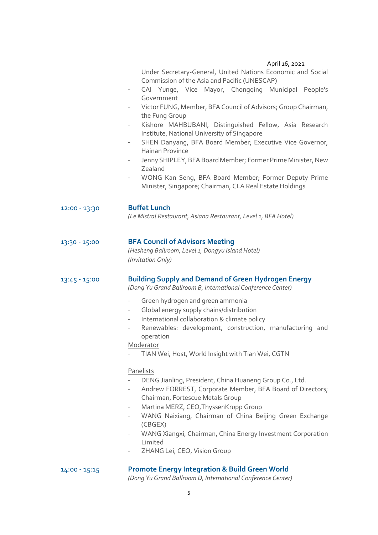| Under Secretary-General, United Nations Economic and Social |  |
|-------------------------------------------------------------|--|
| Commission of the Asia and Pacific (UNESCAP)                |  |

- CAI Yunge, Vice Mayor, Chongqing Municipal People's Government
- Victor FUNG, Member, BFA Council of Advisors; Group Chairman, the Fung Group
- Kishore MAHBUBANI, Distinguished Fellow, Asia Research Institute, National University of Singapore
- SHEN Danyang, BFA Board Member; Executive Vice Governor, Hainan Province
- Jenny SHIPLEY, BFA Board Member; Former Prime Minister, New Zealand
- WONG Kan Seng, BFA Board Member; Former Deputy Prime Minister, Singapore; Chairman, CLA Real Estate Holdings

12:00 - 13:30 **Buffet Lunch** *(Le Mistral Restaurant, Asiana Restaurant, Level 1, BFA Hotel)*

# 13:30 - 15:00 **BFA Council of Advisors Meeting**

*(Hesheng Ballroom, Level 1, Dongyu Island Hotel) (Invitation Only)*

# 13:45 - 15:00 **Building Supply and Demand of Green Hydrogen Energy**

*(Dong Yu Grand Ballroom B, International Conference Center)*

- Green hydrogen and green ammonia
- Global energy supply chains/distribution
- International collaboration & climate policy
- Renewables: development, construction, manufacturing and operation

# Moderator

TIAN Wei, Host, World Insight with Tian Wei, CGTN

# Panelists

- DENG Jianling, President, China Huaneng Group Co., Ltd.
- Andrew FORREST, Corporate Member, BFA Board of Directors; Chairman, Fortescue Metals Group
- Martina MERZ, CEO, ThyssenKrupp Group
- WANG Naixiang, Chairman of China Beijing Green Exchange (CBGEX)
- WANG Xiangxi, Chairman, China Energy Investment Corporation Limited
- ZHANG Lei, CEO, Vision Group

# 14:00 - 15:15 **Promote Energy Integration & Build Green World**

*(Dong Yu Grand Ballroom D, International Conference Center)*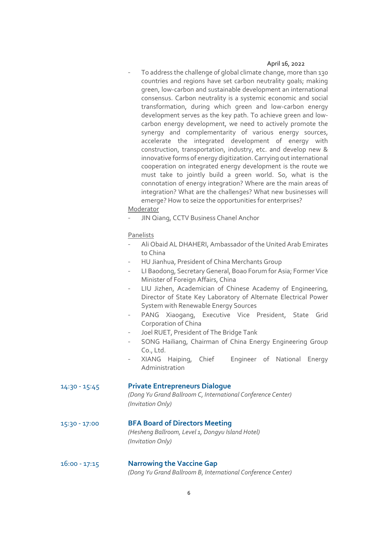To address the challenge of global climate change, more than 130 countries and regions have set carbon neutrality goals; making green, low-carbon and sustainable development an international consensus. Carbon neutrality is a systemic economic and social transformation, during which green and low-carbon energy development serves as the key path. To achieve green and lowcarbon energy development, we need to actively promote the synergy and complementarity of various energy sources, accelerate the integrated development of energy with construction, transportation, industry, etc. and develop new & innovative forms of energy digitization. Carrying out international cooperation on integrated energy development is the route we must take to jointly build a green world. So, what is the connotation of energy integration? Where are the main areas of integration? What are the challenges? What new businesses will emerge? How to seize the opportunities for enterprises?

# Moderator

JIN Qiang, CCTV Business Chanel Anchor

# Panelists

- Ali Obaid AL DHAHERI, Ambassador of the United Arab Emirates to China
- HU Jianhua, President of China Merchants Group
- LI Baodong, Secretary General, Boao Forum for Asia; Former Vice Minister of Foreign Affairs, China
- LIU Jizhen, Academician of Chinese Academy of Engineering, Director of State Key Laboratory of Alternate Electrical Power System with Renewable Energy Sources
- PANG Xiaogang, Executive Vice President, State Grid Corporation of China
- Joel RUET, President of The Bridge Tank
- SONG Hailiang, Chairman of China Energy Engineering Group Co., Ltd.
- XIANG Haiping, Chief Engineer of National Energy Administration

# 14:30 - 15:45 **Private Entrepreneurs Dialogue**

*(Dong Yu Grand Ballroom C, International Conference Center) (Invitation Only)*

15:30 - 17:00 **BFA Board of Directors Meeting**

*(Hesheng Ballroom, Level 1, Dongyu Island Hotel) (Invitation Only)*

# 16:00 - 17:15 **Narrowing the Vaccine Gap** *(Dong Yu Grand Ballroom B, International Conference Center)*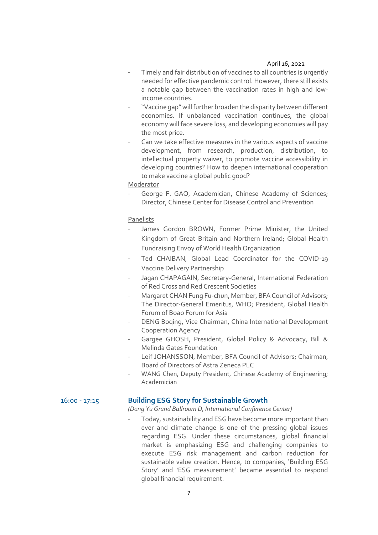- Timely and fair distribution of vaccines to all countries is urgently needed for effective pandemic control. However, there still exists a notable gap between the vaccination rates in high and lowincome countries.
- "Vaccine gap" will further broaden the disparity between different economies. If unbalanced vaccination continues, the global economy will face severe loss, and developing economies will pay the most price.
- Can we take effective measures in the various aspects of vaccine development, from research, production, distribution, to intellectual property waiver, to promote vaccine accessibility in developing countries? How to deepen international cooperation to make vaccine a global public good?

Moderator

George F. GAO, Academician, Chinese Academy of Sciences; Director, Chinese Center for Disease Control and Prevention

# Panelists

- James Gordon BROWN, Former Prime Minister, the United Kingdom of Great Britain and Northern Ireland; Global Health Fundraising Envoy of World Health Organization
- Ted CHAIBAN, Global Lead Coordinator for the COVID-19 Vaccine Delivery Partnership
- Jagan CHAPAGAIN, Secretary-General, International Federation of Red Cross and Red Crescent Societies
- Margaret CHAN Fung Fu-chun, Member, BFA Council of Advisors; The Director-General Emeritus, WHO; President, Global Health Forum of Boao Forum for Asia
- DENG Boqing, Vice Chairman, China International Development Cooperation Agency
- Gargee GHOSH, President, Global Policy & Advocacy, Bill & Melinda Gates Foundation
- Leif JOHANSSON, Member, BFA Council of Advisors; Chairman, Board of Directors of Astra Zeneca PLC
- WANG Chen, Deputy President, Chinese Academy of Engineering; Academician

# 16:00 - 17:15 **Building ESG Story for Sustainable Growth**

*(Dong Yu Grand Ballroom D, International Conference Center)*

Today, sustainability and ESG have become more important than ever and climate change is one of the pressing global issues regarding ESG. Under these circumstances, global financial market is emphasizing ESG and challenging companies to execute ESG risk management and carbon reduction for sustainable value creation. Hence, to companies, 'Building ESG Story' and 'ESG measurement' became essential to respond global financial requirement.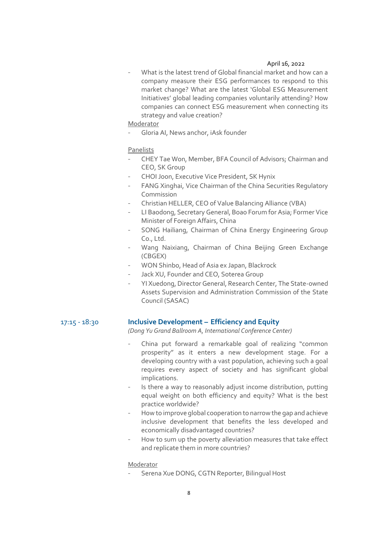What is the latest trend of Global financial market and how can a company measure their ESG performances to respond to this market change? What are the latest 'Global ESG Measurement Initiatives' global leading companies voluntarily attending? How companies can connect ESG measurement when connecting its strategy and value creation?

Moderator

Gloria AI, News anchor, iAsk founder

# Panelists

- CHEY Tae Won, Member, BFA Council of Advisors; Chairman and CEO, SK Group
- CHOI Joon, Executive Vice President, SK Hynix
- FANG Xinghai, Vice Chairman of the China Securities Regulatory Commission
- Christian HELLER, CEO of Value Balancing Alliance (VBA)
- LI Baodong, Secretary General, Boao Forum for Asia; Former Vice Minister of Foreign Affairs, China
- SONG Hailiang, Chairman of China Energy Engineering Group Co., Ltd.
- Wang Naixiang, Chairman of China Beijing Green Exchange (CBGEX)
- WON Shinbo, Head of Asia ex Japan, Blackrock
- Jack XU, Founder and CEO, Soterea Group
- YI Xuedong, Director General, Research Center, The State-owned Assets Supervision and Administration Commission of the State Council (SASAC)

# 17:15 - 18:30 **Inclusive Development – Efficiency and Equity**

*(Dong Yu Grand Ballroom A, International Conference Center)*

- China put forward a remarkable goal of realizing "common prosperity" as it enters a new development stage. For a developing country with a vast population, achieving such a goal requires every aspect of society and has significant global implications.
- Is there a way to reasonably adjust income distribution, putting equal weight on both efficiency and equity? What is the best practice worldwide?
- How to improve global cooperation to narrow the gap and achieve inclusive development that benefits the less developed and economically disadvantaged countries?
- How to sum up the poverty alleviation measures that take effect and replicate them in more countries?

# Moderator

- Serena Xue DONG, CGTN Reporter, Bilingual Host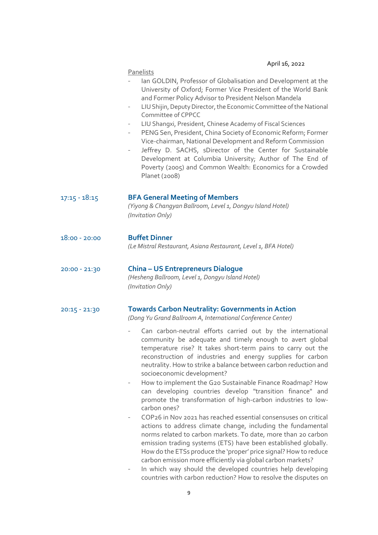|                 | APUL 10, 2022                                                                                                                                                                                                                                                                                                                                                                                                                                                                                                                                                                                                                                                                                                                                                                                                                                                                                                                                                                                                                                                                                                                                                                                                                                                                                |
|-----------------|----------------------------------------------------------------------------------------------------------------------------------------------------------------------------------------------------------------------------------------------------------------------------------------------------------------------------------------------------------------------------------------------------------------------------------------------------------------------------------------------------------------------------------------------------------------------------------------------------------------------------------------------------------------------------------------------------------------------------------------------------------------------------------------------------------------------------------------------------------------------------------------------------------------------------------------------------------------------------------------------------------------------------------------------------------------------------------------------------------------------------------------------------------------------------------------------------------------------------------------------------------------------------------------------|
|                 | Panelists<br>Ian GOLDIN, Professor of Globalisation and Development at the<br>University of Oxford; Former Vice President of the World Bank<br>and Former Policy Advisor to President Nelson Mandela<br>LIU Shijin, Deputy Director, the Economic Committee of the National<br>$\qquad \qquad -$<br>Committee of CPPCC<br>LIU Shangxi, President, Chinese Academy of Fiscal Sciences<br>$\overline{\phantom{a}}$<br>PENG Sen, President, China Society of Economic Reform; Former<br>$\overline{\phantom{a}}$<br>Vice-chairman, National Development and Reform Commission<br>Jeffrey D. SACHS, sDirector of the Center for Sustainable<br>$\overline{\phantom{a}}$<br>Development at Columbia University; Author of The End of<br>Poverty (2005) and Common Wealth: Economics for a Crowded<br>Planet (2008)                                                                                                                                                                                                                                                                                                                                                                                                                                                                                |
| $17:15 - 18:15$ | <b>BFA General Meeting of Members</b><br>(Yiyong & Changyan Ballroom, Level 1, Dongyu Island Hotel)<br>(Invitation Only)                                                                                                                                                                                                                                                                                                                                                                                                                                                                                                                                                                                                                                                                                                                                                                                                                                                                                                                                                                                                                                                                                                                                                                     |
| $18:00 - 20:00$ | <b>Buffet Dinner</b><br>(Le Mistral Restaurant, Asiana Restaurant, Level 1, BFA Hotel)                                                                                                                                                                                                                                                                                                                                                                                                                                                                                                                                                                                                                                                                                                                                                                                                                                                                                                                                                                                                                                                                                                                                                                                                       |
| 20:00 - 21:30   | <b>China - US Entrepreneurs Dialogue</b><br>(Hesheng Ballroom, Level 1, Dongyu Island Hotel)<br>(Invitation Only)                                                                                                                                                                                                                                                                                                                                                                                                                                                                                                                                                                                                                                                                                                                                                                                                                                                                                                                                                                                                                                                                                                                                                                            |
| $20:15 - 21:30$ | <b>Towards Carbon Neutrality: Governments in Action</b><br>(Dong Yu Grand Ballroom A, International Conference Center)<br>Can carbon-neutral efforts carried out by the international<br>community be adequate and timely enough to avert global<br>temperature rise? It takes short-term pains to carry out the<br>reconstruction of industries and energy supplies for carbon<br>neutrality. How to strike a balance between carbon reduction and<br>socioeconomic development?<br>How to implement the G20 Sustainable Finance Roadmap? How<br>$\overline{\phantom{m}}$<br>can developing countries develop "transition finance" and<br>promote the transformation of high-carbon industries to low-<br>carbon ones?<br>COP26 in Nov 2021 has reached essential consensuses on critical<br>$\qquad \qquad -$<br>actions to address climate change, including the fundamental<br>norms related to carbon markets. To date, more than 20 carbon<br>emission trading systems (ETS) have been established globally.<br>How do the ETSs produce the 'proper' price signal? How to reduce<br>carbon emission more efficiently via global carbon markets?<br>In which way should the developed countries help developing<br>-<br>countries with carbon reduction? How to resolve the disputes on |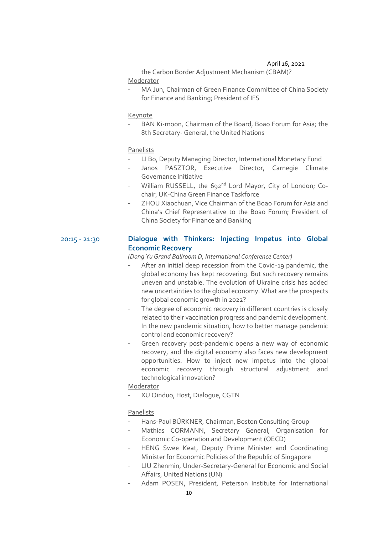the Carbon Border Adjustment Mechanism (CBAM)? Moderator

MA Jun, Chairman of Green Finance Committee of China Society for Finance and Banking; President of IFS

### Keynote

BAN Ki-moon, Chairman of the Board, Boao Forum for Asia; the 8th Secretary- General, the United Nations

#### Panelists

- LI Bo, Deputy Managing Director, International Monetary Fund
- Janos PASZTOR, Executive Director, Carnegie Climate Governance Initiative
- William RUSSELL, the 692<sup>nd</sup> Lord Mayor, City of London; Cochair, UK-China Green Finance Taskforce
- ZHOU Xiaochuan, Vice Chairman of the Boao Forum for Asia and China's Chief Representative to the Boao Forum; President of China Society for Finance and Banking

# 20:15 - 21:30 **Dialogue with Thinkers: Injecting Impetus into Global Economic Recovery**

*(Dong Yu Grand Ballroom D, International Conference Center)*

- After an initial deep recession from the Covid-19 pandemic, the global economy has kept recovering. But such recovery remains uneven and unstable. The evolution of Ukraine crisis has added new uncertainties to the global economy. What are the prospects for global economic growth in 2022?
- The degree of economic recovery in different countries is closely related to their vaccination progress and pandemic development. In the new pandemic situation, how to better manage pandemic control and economic recovery?
- Green recovery post-pandemic opens a new way of economic recovery, and the digital economy also faces new development opportunities. How to inject new impetus into the global economic recovery through structural adjustment and technological innovation?

Moderator

- XU Qinduo, Host, Dialogue, CGTN

- Hans-Paul BÜRKNER, Chairman, Boston Consulting Group
- Mathias CORMANN, Secretary General, Organisation for Economic Co-operation and Development (OECD)
- HENG Swee Keat, Deputy Prime Minister and Coordinating Minister for Economic Policies of the Republic of Singapore
- LIU Zhenmin, Under-Secretary-General for Economic and Social Affairs, United Nations (UN)
- Adam POSEN, President, Peterson Institute for International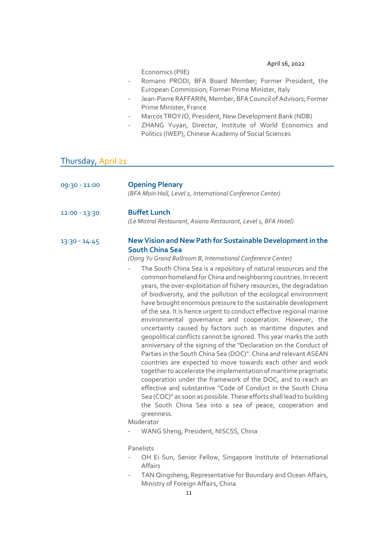Economics (PIIE)

- Romano PRODI, BFA Board Member; Former President, the European Commission; Former Prime Minister, Italy
- Jean-Pierre RAFFARIN, Member, BFA Council of Advisors; Former Prime Minister, France
- Marcos TROYJO, President, New Development Bank (NDB)

- ZHANG Yuyan, Director, Institute of World Economics and Politics (IWEP), Chinese Academy of Social Sciences

# Thursday, April 21

| 09:30 - 11:00 | <b>Opening Plenary</b><br>(BFA Main Hall, Level 2, International Conference Center)                                                                                                                                                                                                                                                                                                                                                                                                                                                                                                                                                                                                                                                                                                                                                                                                                                                                                                                                                                                                                                                                                                                                                                                                                                                                                                                                                                                                 |
|---------------|-------------------------------------------------------------------------------------------------------------------------------------------------------------------------------------------------------------------------------------------------------------------------------------------------------------------------------------------------------------------------------------------------------------------------------------------------------------------------------------------------------------------------------------------------------------------------------------------------------------------------------------------------------------------------------------------------------------------------------------------------------------------------------------------------------------------------------------------------------------------------------------------------------------------------------------------------------------------------------------------------------------------------------------------------------------------------------------------------------------------------------------------------------------------------------------------------------------------------------------------------------------------------------------------------------------------------------------------------------------------------------------------------------------------------------------------------------------------------------------|
| 12:00 - 13:30 | <b>Buffet Lunch</b><br>(Le Mistral Restaurant, Asiana Restaurant, Level 1, BFA Hotel)                                                                                                                                                                                                                                                                                                                                                                                                                                                                                                                                                                                                                                                                                                                                                                                                                                                                                                                                                                                                                                                                                                                                                                                                                                                                                                                                                                                               |
| 13:30 - 14:45 | New Vision and New Path for Sustainable Development in the<br><b>South China Sea</b><br>(Dong Yu Grand Ballroom B, International Conference Center)<br>The South China Sea is a repository of natural resources and the<br>common homeland for China and neighboring countries. In recent<br>years, the over-exploitation of fishery resources, the degradation<br>of biodiversity, and the pollution of the ecological environment<br>have brought enormous pressure to the sustainable development<br>of the sea. It is hence urgent to conduct effective regional marine<br>environmental governance and cooperation. However, the<br>uncertainty caused by factors such as maritime disputes and<br>geopolitical conflicts cannot be ignored. This year marks the 20th<br>anniversary of the signing of the "Declaration on the Conduct of<br>Parties in the South China Sea (DOC)". China and relevant ASEAN<br>countries are expected to move towards each other and work<br>together to accelerate the implementation of maritime pragmatic<br>cooperation under the framework of the DOC, and to reach an<br>effective and substantive "Code of Conduct in the South China<br>Sea (COC)" as soon as possible. These efforts shall lead to building<br>the South China Sea into a sea of peace, cooperation and<br>greenness.<br>Moderator<br>WANG Sheng, President, NISCSS, China<br>Panelists<br>OH Ei Sun, Senior Fellow, Singapore Institute of International<br>Affairs |

- TAN Qingsheng, Representative for Boundary and Ocean Affairs, Ministry of Foreign Affairs, China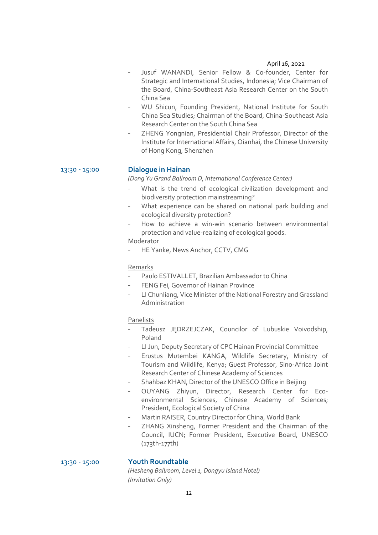- Jusuf WANANDI, Senior Fellow & Co-founder, Center for Strategic and International Studies, Indonesia; Vice Chairman of the Board, China-Southeast Asia Research Center on the South China Sea
- WU Shicun, Founding President, National Institute for South China Sea Studies; Chairman of the Board, China-Southeast Asia Research Center on the South China Sea
- ZHENG Yongnian, Presidential Chair Professor, Director of the Institute for International Affairs, Qianhai, the Chinese University of Hong Kong, Shenzhen

# 13:30 - 15:00 **Dialogue in Hainan**

*(Dong Yu Grand Ballroom D, International Conference Center)*

- What is the trend of ecological civilization development and biodiversity protection mainstreaming?
- What experience can be shared on national park building and ecological diversity protection?
- How to achieve a win-win scenario between environmental protection and value-realizing of ecological goods.

# Moderator

- HE Yanke, News Anchor, CCTV, CMG

# Remarks

- Paulo ESTIVALLET, Brazilian Ambassador to China
- FENG Fei, Governor of Hainan Province
- LI Chunliang, Vice Minister of the National Forestry and Grassland Administration

### Panelists

- Tadeusz JĘDRZEJCZAK, Councilor of Lubuskie Voivodship, Poland
- LI Jun, Deputy Secretary of CPC Hainan Provincial Committee
- Erustus Mutembei KANGA, Wildlife Secretary, Ministry of Tourism and Wildlife, Kenya; Guest Professor, Sino-Africa Joint Research Center of Chinese Academy of Sciences
- Shahbaz KHAN, Director of the UNESCO Office in Beijing
- OUYANG Zhiyun, Director, Research Center for Ecoenvironmental Sciences, Chinese Academy of Sciences; President, Ecological Society of China
- Martin RAISER, Country Director for China, World Bank
- ZHANG Xinsheng, Former President and the Chairman of the Council, IUCN; Former President, Executive Board, UNESCO (173th-177th)

### 13:30 - 15:00 **Youth Roundtable**

*(Hesheng Ballroom, Level 1, Dongyu Island Hotel) (Invitation Only)*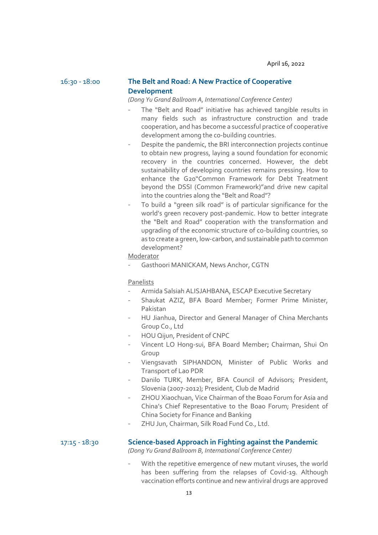# 16:30 - 18:00 **The Belt and Road: A New Practice of Cooperative Development**

*(Dong Yu Grand Ballroom A, International Conference Center)*

- The "Belt and Road" initiative has achieved tangible results in many fields such as infrastructure construction and trade cooperation, and has become a successful practice of cooperative development among the co-building countries.
- Despite the pandemic, the BRI interconnection projects continue to obtain new progress, laying a sound foundation for economic recovery in the countries concerned. However, the debt sustainability of developing countries remains pressing. How to enhance the G20"Common Framework for Debt Treatment beyond the DSSI (Common Framework)"and drive new capital into the countries along the "Belt and Road"?
- To build a "green silk road" is of particular significance for the world's green recovery post-pandemic. How to better integrate the "Belt and Road" cooperation with the transformation and upgrading of the economic structure of co-building countries, so as to create a green, low-carbon, and sustainable path to common development?

# Moderator

Gasthoori MANICKAM, News Anchor, CGTN

#### Panelists

- Armida Salsiah ALISJAHBANA, ESCAP Executive Secretary
- Shaukat AZIZ, BFA Board Member; Former Prime Minister, Pakistan
- HU Jianhua, Director and General Manager of China Merchants Group Co., Ltd
- HOU Qijun, President of CNPC
- Vincent LO Hong-sui, BFA Board Member; Chairman, Shui On Group
- Viengsavath SIPHANDON, Minister of Public Works and Transport of Lao PDR
- Danilo TURK, Member, BFA Council of Advisors; President, Slovenia (2007-2012); President, Club de Madrid
- ZHOU Xiaochuan, Vice Chairman of the Boao Forum for Asia and China's Chief Representative to the Boao Forum; President of China Society for Finance and Banking
- ZHU Jun, Chairman, Silk Road Fund Co., Ltd.

17:15 - 18:30 **Science-based Approach in Fighting against the Pandemic**

*(Dong Yu Grand Ballroom B, International Conference Center)*

With the repetitive emergence of new mutant viruses, the world has been suffering from the relapses of Covid-19. Although vaccination efforts continue and new antiviral drugs are approved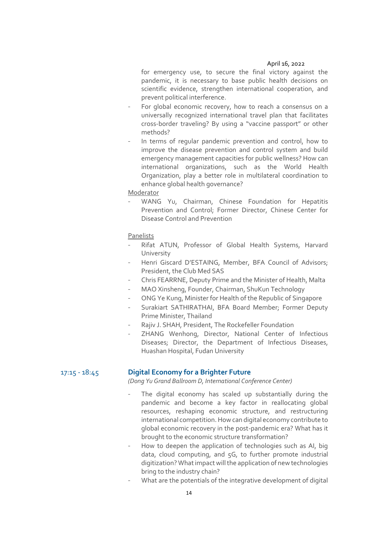for emergency use, to secure the final victory against the pandemic, it is necessary to base public health decisions on scientific evidence, strengthen international cooperation, and prevent political interference.

- For global economic recovery, how to reach a consensus on a universally recognized international travel plan that facilitates cross-border traveling? By using a "vaccine passport" or other methods?
- In terms of regular pandemic prevention and control, how to improve the disease prevention and control system and build emergency management capacities for public wellness? How can international organizations, such as the World Health Organization, play a better role in multilateral coordination to enhance global health governance?

Moderator

WANG Yu, Chairman, Chinese Foundation for Hepatitis Prevention and Control; Former Director, Chinese Center for Disease Control and Prevention

Panelists

- Rifat ATUN, Professor of Global Health Systems, Harvard University
- Henri Giscard D'ESTAING, Member, BFA Council of Advisors; President, the Club Med SAS
- Chris FEARRNE, Deputy Prime and the Minister of Health, Malta
- MAO Xinsheng, Founder, Chairman, ShuKun Technology
- ONG Ye Kung, Minister for Health of the Republic of Singapore
- Surakiart SATHIRATHAI, BFA Board Member; Former Deputy Prime Minister, Thailand
- Rajiv J. SHAH, President, The Rockefeller Foundation
- ZHANG Wenhong, Director, National Center of Infectious Diseases; Director, the Department of Infectious Diseases, Huashan Hospital, Fudan University

# 17:15 - 18:45 **Digital Economy for a Brighter Future**

*(Dong Yu Grand Ballroom D, International Conference Center)*

- The digital economy has scaled up substantially during the pandemic and become a key factor in reallocating global resources, reshaping economic structure, and restructuring international competition. How can digital economy contribute to global economic recovery in the post-pandemic era? What has it brought to the economic structure transformation?
- How to deepen the application of technologies such as AI, big data, cloud computing, and 5G, to further promote industrial digitization? What impact will the application of new technologies bring to the industry chain?
- What are the potentials of the integrative development of digital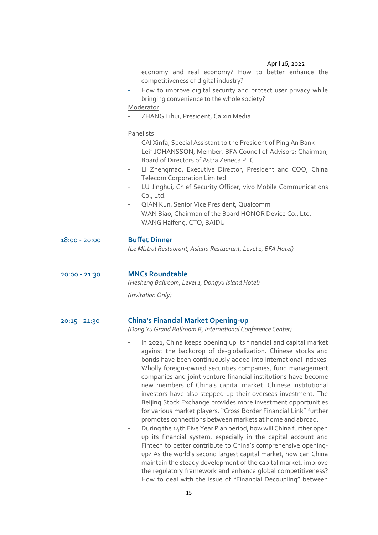economy and real economy? How to better enhance the competitiveness of digital industry?

How to improve digital security and protect user privacy while bringing convenience to the whole society?

Moderator

- ZHANG Lihui, President, Caixin Media

Panelists

- CAI Xinfa, Special Assistant to the President of Ping An Bank
- Leif JOHANSSON, Member, BFA Council of Advisors; Chairman, Board of Directors of Astra Zeneca PLC
- LI Zhengmao, Executive Director, President and COO, China Telecom Corporation Limited
- LU Jinghui, Chief Security Officer, vivo Mobile Communications Co., Ltd.
- QIAN Kun, Senior Vice President, Qualcomm
- WAN Biao, Chairman of the Board HONOR Device Co., Ltd.
- WANG Haifeng, CTO, BAIDU

# 18:00 - 20:00 **Buffet Dinner**

*(Le Mistral Restaurant, Asiana Restaurant, Level 1, BFA Hotel)*

# 20:00 - 21:30 **MNCs Roundtable**

*(Hesheng Ballroom, Level 1, Dongyu Island Hotel)*

*(Invitation Only)*

# 20:15 - 21:30 **China's Financial Market Opening-up**

*(Dong Yu Grand Ballroom B, International Conference Center)*

- In 2021, China keeps opening up its financial and capital market against the backdrop of de-globalization. Chinese stocks and bonds have been continuously added into international indexes. Wholly foreign-owned securities companies, fund management companies and joint venture financial institutions have become new members of China's capital market. Chinese institutional investors have also stepped up their overseas investment. The Beijing Stock Exchange provides more investment opportunities for various market players. "Cross Border Financial Link" further promotes connections between markets at home and abroad.
- During the 14th Five Year Plan period, how will China further open up its financial system, especially in the capital account and Fintech to better contribute to China's comprehensive openingup? As the world's second largest capital market, how can China maintain the steady development of the capital market, improve the regulatory framework and enhance global competitiveness? How to deal with the issue of "Financial Decoupling" between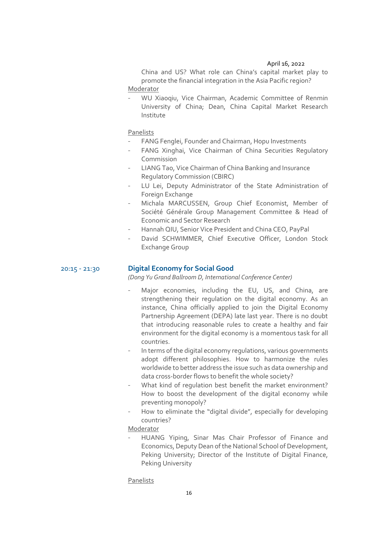China and US? What role can China's capital market play to promote the financial integration in the Asia Pacific region? Moderator

- WU Xiaoqiu, Vice Chairman, Academic Committee of Renmin University of China; Dean, China Capital Market Research Institute

Panelists

- FANG Fenglei, Founder and Chairman, Hopu Investments
- FANG Xinghai, Vice Chairman of China Securities Regulatory Commission
- LIANG Tao, Vice Chairman of China Banking and Insurance Regulatory Commission (CBIRC)
- LU Lei, Deputy Administrator of the State Administration of Foreign Exchange
- Michala MARCUSSEN, Group Chief Economist, Member of Société Générale Group Management Committee & Head of Economic and Sector Research
- Hannah QIU, Senior Vice President and China CEO, PayPal
- David SCHWIMMER, Chief Executive Officer, London Stock Exchange Group

# 20:15 - 21:30 **Digital Economy for Social Good**

*(Dong Yu Grand Ballroom D, International Conference Center)*

- Major economies, including the EU, US, and China, are strengthening their regulation on the digital economy. As an instance, China officially applied to join the Digital Economy Partnership Agreement (DEPA) late last year. There is no doubt that introducing reasonable rules to create a healthy and fair environment for the digital economy is a momentous task for all countries.
- In terms of the digital economy regulations, various governments adopt different philosophies. How to harmonize the rules worldwide to better address the issue such as data ownership and data cross-border flows to benefit the whole society?
- What kind of regulation best benefit the market environment? How to boost the development of the digital economy while preventing monopoly?
- How to eliminate the "digital divide", especially for developing countries?

Moderator

HUANG Yiping, Sinar Mas Chair Professor of Finance and Economics, Deputy Dean of the National School of Development, Peking University; Director of the Institute of Digital Finance, Peking University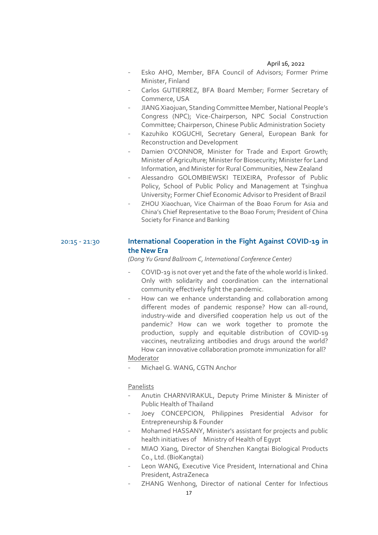- Esko AHO, Member, BFA Council of Advisors; Former Prime Minister, Finland
- Carlos GUTIERREZ, BFA Board Member; Former Secretary of Commerce, USA
- JIANG Xiaojuan, Standing Committee Member, National People's Congress (NPC); Vice-Chairperson, NPC Social Construction Committee; Chairperson, Chinese Public Administration Society
- Kazuhiko KOGUCHI, Secretary General, European Bank for Reconstruction and Development
- Damien O'CONNOR, Minister for Trade and Export Growth; Minister of Agriculture; Minister for Biosecurity; Minister for Land Information, and Minister for Rural Communities, New Zealand
- Alessandro GOLOMBIEWSKI TEIXEIRA, Professor of Public Policy, School of Public Policy and Management at Tsinghua University; Former Chief Economic Advisor to President of Brazil
- ZHOU Xiaochuan, Vice Chairman of the Boao Forum for Asia and China's Chief Representative to the Boao Forum; President of China Society for Finance and Banking

# 20:15 - 21:30 **International Cooperation in the Fight Against COVID-19 in the New Era**

*(Dong Yu Grand Ballroom C, International Conference Center)*

- COVID-19 is not over yet and the fate of the whole world is linked. Only with solidarity and coordination can the international community effectively fight the pandemic.
- How can we enhance understanding and collaboration among different modes of pandemic response? How can all-round, industry-wide and diversified cooperation help us out of the pandemic? How can we work together to promote the production, supply and equitable distribution of COVID-19 vaccines, neutralizing antibodies and drugs around the world? How can innovative collaboration promote immunization for all?

# Moderator

Michael G. WANG, CGTN Anchor

- Anutin CHARNVIRAKUL, Deputy Prime Minister & Minister of Public Health of Thailand
- Joey CONCEPCION, Philippines Presidential Advisor for Entrepreneurship & Founder
- Mohamed HASSANY, Minister's assistant for projects and public health initiatives of Ministry of Health of Egypt
- MIAO Xiang, Director of Shenzhen Kangtai Biological Products Co., Ltd. (BioKangtai)
- Leon WANG, Executive Vice President, International and China President, AstraZeneca
- ZHANG Wenhong, Director of national Center for Infectious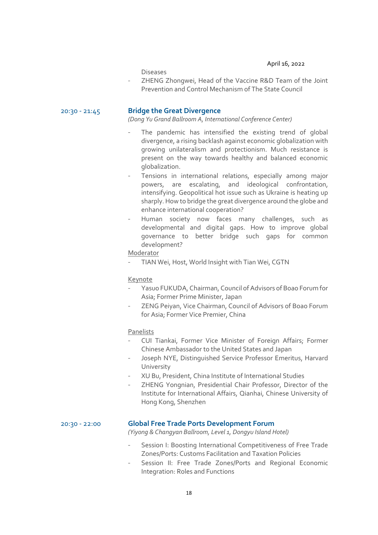Diseases

- ZHENG Zhongwei, Head of the Vaccine R&D Team of the Joint Prevention and Control Mechanism of The State Council

# 20:30 - 21:45 **Bridge the Great Divergence**

*(Dong Yu Grand Ballroom A, International Conference Center)*

- The pandemic has intensified the existing trend of global divergence, a rising backlash against economic globalization with growing unilateralism and protectionism. Much resistance is present on the way towards healthy and balanced economic globalization.
- Tensions in international relations, especially among major powers, are escalating, and ideological confrontation, intensifying. Geopolitical hot issue such as Ukraine is heating up sharply. How to bridge the great divergence around the globe and enhance international cooperation?
- Human society now faces many challenges, such as developmental and digital gaps. How to improve global governance to better bridge such gaps for common development?

# Moderator

TIAN Wei, Host, World Insight with Tian Wei, CGTN

# Keynote

- Yasuo FUKUDA, Chairman, Council of Advisors of Boao Forum for Asia; Former Prime Minister, Japan
- ZENG Peiyan, Vice Chairman, Council of Advisors of Boao Forum for Asia; Former Vice Premier, China

# Panelists

- CUI Tiankai, Former Vice Minister of Foreign Affairs; Former Chinese Ambassador to the United States and Japan
- Joseph NYE, Distinguished Service Professor Emeritus, Harvard University
- XU Bu, President, China Institute of International Studies
- ZHENG Yongnian, Presidential Chair Professor, Director of the Institute for International Affairs, Qianhai, Chinese University of Hong Kong, Shenzhen

# 20:30 - 22:00 **Global Free Trade Ports Development Forum**

*(Yiyong & Changyan Ballroom, Level 1, Dongyu Island Hotel)*

- Session I: Boosting International Competitiveness of Free Trade Zones/Ports: Customs Facilitation and Taxation Policies
- Session II: Free Trade Zones/Ports and Regional Economic Integration: Roles and Functions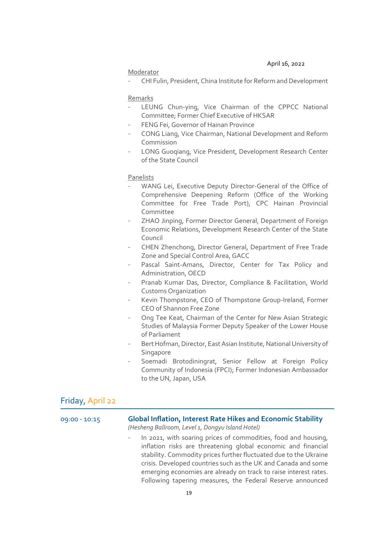# Moderator

- CHI Fulin, President, China Institute for Reform and Development

# Remarks

- LEUNG Chun-ying, Vice Chairman of the CPPCC National Committee; Former Chief Executive of HKSAR
- FENG Fei, Governor of Hainan Province
- CONG Liang, Vice Chairman, National Development and Reform Commission
- LONG Guoqiang, Vice President, Development Research Center of the State Council

Panelists

- WANG Lei, Executive Deputy Director-General of the Office of Comprehensive Deepening Reform (Office of the Working Committee for Free Trade Port), CPC Hainan Provincial Committee
- ZHAO Jinping, Former Director General, Department of Foreign Economic Relations, Development Research Center of the State Council
- CHEN Zhenchong, Director General, Department of Free Trade Zone and Special Control Area, GACC
- Pascal Saint-Amans, Director, Center for Tax Policy and Administration, OECD
- Pranab Kumar Das, Director, Compliance & Facilitation, World Customs Organization
- Kevin Thompstone, CEO of Thompstone Group-Ireland, Former CEO of Shannon Free Zone
- Ong Tee Keat, Chairman of the Center for New Asian Strategic Studies of Malaysia Former Deputy Speaker of the Lower House of Parliament
- Bert Hofman, Director, East Asian Institute, National University of **Singapore**
- Soemadi Brotodiningrat, Senior Fellow at Foreign Policy Community of Indonesia (FPCI); Former Indonesian Ambassador to the UN, Japan, USA

# Friday, April 22

| 09:00 - 10:15 | <b>Global Inflation, Interest Rate Hikes and Economic Stability</b><br>(Hesheng Ballroom, Level 1, Dongyu Island Hotel)                                                                                                                                                                                                                                                                                  |
|---------------|----------------------------------------------------------------------------------------------------------------------------------------------------------------------------------------------------------------------------------------------------------------------------------------------------------------------------------------------------------------------------------------------------------|
|               | In 2021, with soaring prices of commodities, food and housing,<br>inflation risks are threatening global economic and financial<br>stability. Commodity prices further fluctuated due to the Ukraine<br>crisis. Developed countries such as the UK and Canada and some<br>emerging economies are already on track to raise interest rates.<br>Following tapering measures, the Federal Reserve announced |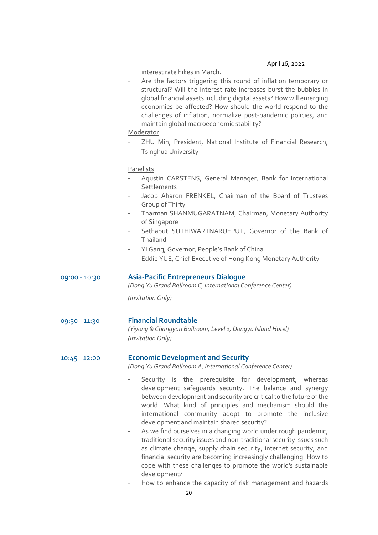interest rate hikes in March.

Are the factors triggering this round of inflation temporary or structural? Will the interest rate increases burst the bubbles in global financial assets including digital assets? How will emerging economies be affected? How should the world respond to the challenges of inflation, normalize post-pandemic policies, and maintain global macroeconomic stability?

# Moderator

ZHU Min, President, National Institute of Financial Research, Tsinghua University

# Panelists

- Agustin CARSTENS, General Manager, Bank for International **Settlements**
- Jacob Aharon FRENKEL, Chairman of the Board of Trustees Group of Thirty
- Tharman SHANMUGARATNAM, Chairman, Monetary Authority of Singapore
- Sethaput SUTHIWARTNARUEPUT, Governor of the Bank of Thailand
- YI Gang, Governor, People's Bank of China
- Eddie YUE, Chief Executive of Hong Kong Monetary Authority

# 09:00 - 10:30 **Asia-Pacific Entrepreneurs Dialogue**

*(Dong Yu Grand Ballroom C, International Conference Center)*

*(Invitation Only)*

# 09:30 - 11:30 **Financial Roundtable**

*(Yiyong & Changyan Ballroom, Level 1, Dongyu Island Hotel) (Invitation Only)*

# 10:45 - 12:00 **Economic Development and Security**

*(Dong Yu Grand Ballroom A, International Conference Center)*

- Security is the prerequisite for development, whereas development safeguards security. The balance and synergy between development and security are critical to the future of the world. What kind of principles and mechanism should the international community adopt to promote the inclusive development and maintain shared security?
- As we find ourselves in a changing world under rough pandemic, traditional security issues and non-traditional security issues such as climate change, supply chain security, internet security, and financial security are becoming increasingly challenging. How to cope with these challenges to promote the world's sustainable development?
- How to enhance the capacity of risk management and hazards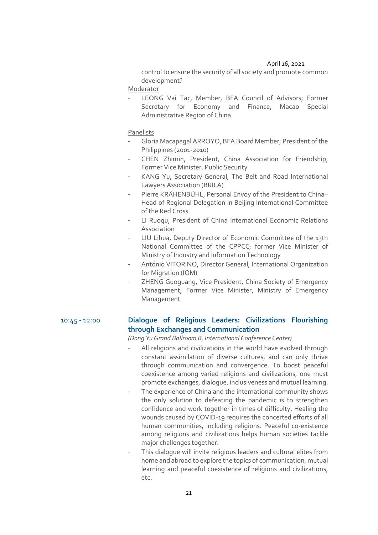control to ensure the security of all society and promote common development?

Moderator

LEONG Vai Tac, Member, BFA Council of Advisors; Former Secretary for Economy and Finance, Macao Special Administrative Region of China

Panelists

- Gloria Macapagal ARROYO, BFA Board Member; President of the Philippines (2001-2010)
- CHEN Zhimin, President, China Association for Friendship; Former Vice Minister, Public Security
- KANG Yu, Secretary-General, The Belt and Road International Lawyers Association (BRILA)
- Pierre KRÄHENBÜHL, Personal Envoy of the President to China-Head of Regional Delegation in Beijing International Committee of the Red Cross
- LI Ruogu, President of China International Economic Relations Association
- LIU Lihua, Deputy Director of Economic Committee of the 13th National Committee of the CPPCC; former Vice Minister of Ministry of Industry and Information Technology
- António VITORINO, Director General, International Organization for Migration (IOM)
- ZHENG Guoguang, Vice President, China Society of Emergency Management; Former Vice Minister, Ministry of Emergency Management

# 10:45 - 12:00 **Dialogue of Religious Leaders: Civilizations Flourishing through Exchanges and Communication**

*(Dong Yu Grand Ballroom B, International Conference Center)*

- All religions and civilizations in the world have evolved through constant assimilation of diverse cultures, and can only thrive through communication and convergence. To boost peaceful coexistence among varied religions and civilizations, one must promote exchanges, dialogue, inclusiveness and mutual learning.
- The experience of China and the international community shows the only solution to defeating the pandemic is to strengthen confidence and work together in times of difficulty. Healing the wounds caused by COVID-19 requires the concerted efforts of all human communities, including religions. Peaceful co-existence among religions and civilizations helps human societies tackle major challenges together.
- This dialogue will invite religious leaders and cultural elites from home and abroad to explore the topics of communication, mutual learning and peaceful coexistence of religions and civilizations, etc.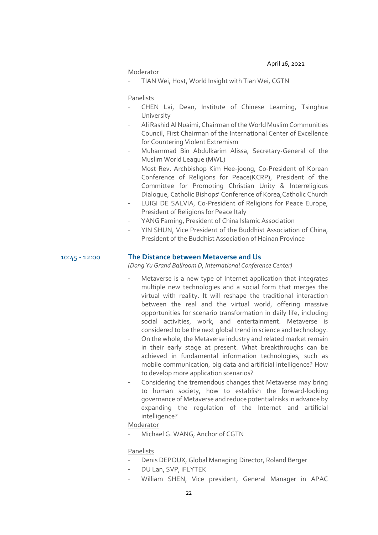### Moderator

TIAN Wei, Host, World Insight with Tian Wei, CGTN

#### Panelists

- CHEN Lai, Dean, Institute of Chinese Learning, Tsinghua University
- Ali Rashid Al Nuaimi, Chairman of the World Muslim Communities Council, First Chairman of the International Center of Excellence for Countering Violent Extremism
- Muhammad Bin Abdulkarim Alissa, Secretary-General of the Muslim World League (MWL)
- Most Rev. Archbishop Kim Hee-joong, Co-President of Korean Conference of Religions for Peace(KCRP), President of the Committee for Promoting Christian Unity & Interreligious Dialogue, Catholic Bishops' Conference of Korea,Catholic Church
- LUIGI DE SALVIA, Co-President of Religions for Peace Europe, President of Religions for Peace Italy
- YANG Faming, President of China Islamic Association
- YIN SHUN, Vice President of the Buddhist Association of China, President of the Buddhist Association of Hainan Province

# 10:45 - 12:00 **The Distance between Metaverse and Us**

*(Dong Yu Grand Ballroom D, International Conference Center)*

- Metaverse is a new type of Internet application that integrates multiple new technologies and a social form that merges the virtual with reality. It will reshape the traditional interaction between the real and the virtual world, offering massive opportunities for scenario transformation in daily life, including social activities, work, and entertainment. Metaverse is considered to be the next global trend in science and technology.
- On the whole, the Metaverse industry and related market remain in their early stage at present. What breakthroughs can be achieved in fundamental information technologies, such as mobile communication, big data and artificial intelligence? How to develop more application scenarios?
- Considering the tremendous changes that Metaverse may bring to human society, how to establish the forward-looking governance of Metaverse and reduce potential risks in advance by expanding the regulation of the Internet and artificial intelligence?

# Moderator

Michael G. WANG, Anchor of CGTN

- Denis DEPOUX, Global Managing Director, Roland Berger
- DU Lan, SVP, iFLYTEK
- William SHEN, Vice president, General Manager in APAC